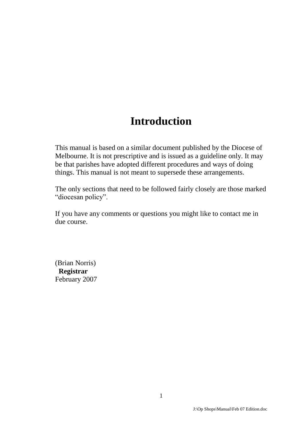# **Introduction**

This manual is based on a similar document published by the Diocese of Melbourne. It is not prescriptive and is issued as a guideline only. It may be that parishes have adopted different procedures and ways of doing things. This manual is not meant to supersede these arrangements.

The only sections that need to be followed fairly closely are those marked "diocesan policy".

If you have any comments or questions you might like to contact me in due course.

(Brian Norris) **Registrar** February 2007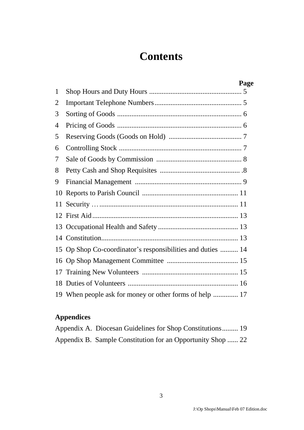# **Contents**

|    | Page                                                        |
|----|-------------------------------------------------------------|
| 1  |                                                             |
| 2  |                                                             |
| 3  |                                                             |
| 4  |                                                             |
| 5  |                                                             |
| 6  |                                                             |
| 7  |                                                             |
| 8  |                                                             |
| 9  |                                                             |
|    |                                                             |
|    |                                                             |
|    |                                                             |
|    |                                                             |
|    |                                                             |
|    | 15 Op Shop Co-coordinator's responsibilities and duties  14 |
|    |                                                             |
| 17 |                                                             |
|    |                                                             |
|    | 19 When people ask for money or other forms of help  17     |

### **Appendices**

| Appendix A. Diocesan Guidelines for Shop Constitutions 19   |  |
|-------------------------------------------------------------|--|
| Appendix B. Sample Constitution for an Opportunity Shop  22 |  |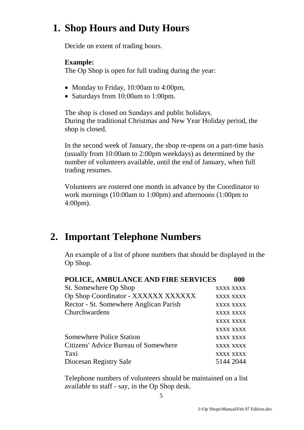# **1. Shop Hours and Duty Hours**

Decide on extent of trading hours.

#### **Example:**

The Op Shop is open for full trading during the year:

- Monday to Friday, 10:00am to 4:00pm,
- Saturdays from 10:00am to 1:00pm.

The shop is closed on Sundays and public holidays. During the traditional Christmas and New Year Holiday period, the shop is closed.

In the second week of January, the shop re-opens on a part-time basis (usually from 10:00am to 2:00pm weekdays) as determined by the number of volunteers available, until the end of January, when full trading resumes.

Volunteers are rostered one month in advance by the Coordinator to work mornings (10:00am to 1:00pm) and afternoons (1:00pm to 4:00pm).

## **2. Important Telephone Numbers**

An example of a list of phone numbers that should be displayed in the Op Shop.

| POLICE, AMBULANCE AND FIRE SERVICES    | 000              |
|----------------------------------------|------------------|
| St. Somewhere Op Shop                  | XXXX XXXX        |
| Op Shop Coordinator - XXXXXX XXXXXX    | <b>XXXX XXXX</b> |
| Rector - St. Somewhere Anglican Parish | XXXX XXXX        |
| Churchwardens                          | XXXX XXXX        |
|                                        | XXXX XXXX        |
|                                        | <b>XXXX XXXX</b> |
| <b>Somewhere Police Station</b>        | <b>XXXX XXXX</b> |
| Citizens' Advice Bureau of Somewhere   | <b>XXXX XXXX</b> |
| Taxi                                   | <b>XXXX XXXX</b> |
| Diocesan Registry Sale                 | 5144 2044        |

Telephone numbers of volunteers should be maintained on a list available to staff - say, in the Op Shop desk.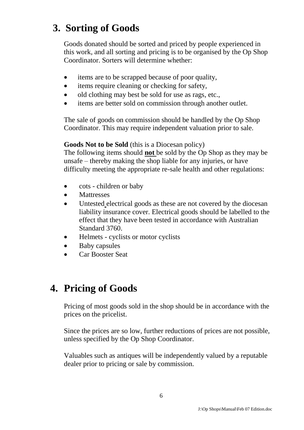# **3. Sorting of Goods**

Goods donated should be sorted and priced by people experienced in this work, and all sorting and pricing is to be organised by the Op Shop Coordinator. Sorters will determine whether:

- items are to be scrapped because of poor quality,
- items require cleaning or checking for safety,
- old clothing may best be sold for use as rags, etc.,
- items are better sold on commission through another outlet.

The sale of goods on commission should be handled by the Op Shop Coordinator. This may require independent valuation prior to sale.

#### **Goods Not to be Sold** (this is a Diocesan policy)

The following items should **not** be sold by the Op Shop as they may be unsafe – thereby making the shop liable for any injuries, or have difficulty meeting the appropriate re-sale health and other regulations:

- cots children or baby
- Mattresses
- Untested electrical goods as these are not covered by the diocesan liability insurance cover. Electrical goods should be labelled to the effect that they have been tested in accordance with Australian Standard 3760.
- Helmets cyclists or motor cyclists
- Baby capsules
- Car Booster Seat

# **4. Pricing of Goods**

Pricing of most goods sold in the shop should be in accordance with the prices on the pricelist.

Since the prices are so low, further reductions of prices are not possible, unless specified by the Op Shop Coordinator.

Valuables such as antiques will be independently valued by a reputable dealer prior to pricing or sale by commission.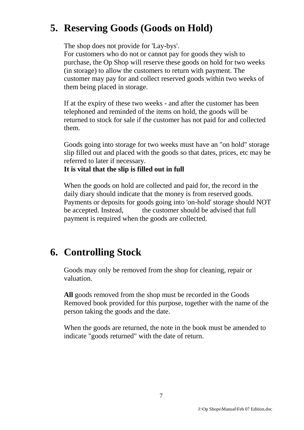# **5. Reserving Goods (Goods on Hold)**

The shop does not provide for 'Lay-bys'.

For customers who do not or cannot pay for goods they wish to purchase, the Op Shop will reserve these goods on hold for two weeks (in storage) to allow the customers to return with payment. The customer may pay for and collect reserved goods within two weeks of them being placed in storage.

If at the expiry of these two weeks - and after the customer has been telephoned and reminded of the items on hold, the goods will be returned to stock for sale if the customer has not paid for and collected them.

Goods going into storage for two weeks must have an "on hold" storage slip filled out and placed with the goods so that dates, prices, etc may be referred to later if necessary.

#### **It is vital that the slip is filled out in full**

When the goods on hold are collected and paid for, the record in the daily diary should indicate that the money is from reserved goods. Payments or deposits for goods going into 'on-hold' storage should NOT be accepted. Instead, the customer should be advised that full payment is required when the goods are collected.

### **6. Controlling Stock**

Goods may only be removed from the shop for cleaning, repair or valuation.

**All** goods removed from the shop must be recorded in the Goods Removed book provided for this purpose, together with the name of the person taking the goods and the date.

When the goods are returned, the note in the book must be amended to indicate "goods returned" with the date of return.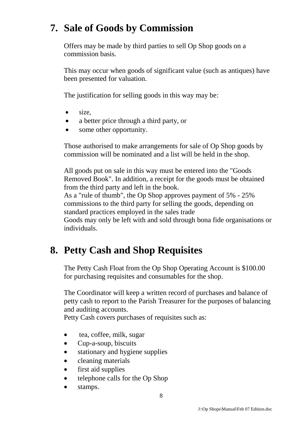## **7. Sale of Goods by Commission**

Offers may be made by third parties to sell Op Shop goods on a commission basis.

This may occur when goods of significant value (such as antiques) have been presented for valuation.

The justification for selling goods in this way may be:

- $\bullet$  size,
- a better price through a third party, or
- some other opportunity.

Those authorised to make arrangements for sale of Op Shop goods by commission will be nominated and a list will be held in the shop.

All goods put on sale in this way must be entered into the "Goods Removed Book". In addition, a receipt for the goods must be obtained from the third party and left in the book.

As a "rule of thumb", the Op Shop approves payment of 5% - 25% commissions to the third party for selling the goods, depending on standard practices employed in the sales trade

Goods may only be left with and sold through bona fide organisations or individuals.

## **8. Petty Cash and Shop Requisites**

The Petty Cash Float from the Op Shop Operating Account is \$100.00 for purchasing requisites and consumables for the shop.

The Coordinator will keep a written record of purchases and balance of petty cash to report to the Parish Treasurer for the purposes of balancing and auditing accounts.

Petty Cash covers purchases of requisites such as:

- tea, coffee, milk, sugar
- Cup-a-soup, biscuits
- stationary and hygiene supplies
- cleaning materials
- first aid supplies
- telephone calls for the Op Shop
- stamps.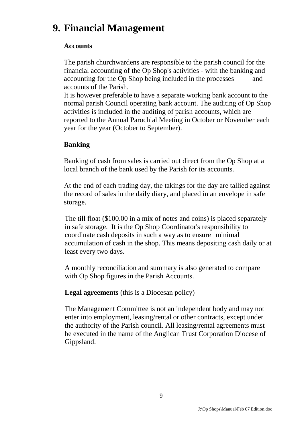# **9. Financial Management**

#### **Accounts**

The parish churchwardens are responsible to the parish council for the financial accounting of the Op Shop's activities - with the banking and accounting for the Op Shop being included in the processes and accounts of the Parish.

It is however preferable to have a separate working bank account to the normal parish Council operating bank account. The auditing of Op Shop activities is included in the auditing of parish accounts, which are reported to the Annual Parochial Meeting in October or November each year for the year (October to September).

#### **Banking**

Banking of cash from sales is carried out direct from the Op Shop at a local branch of the bank used by the Parish for its accounts.

At the end of each trading day, the takings for the day are tallied against the record of sales in the daily diary, and placed in an envelope in safe storage.

The till float (\$100.00 in a mix of notes and coins) is placed separately in safe storage. It is the Op Shop Coordinator's responsibility to coordinate cash deposits in such a way as to ensure minimal accumulation of cash in the shop. This means depositing cash daily or at least every two days.

A monthly reconciliation and summary is also generated to compare with Op Shop figures in the Parish Accounts.

**Legal agreements** (this is a Diocesan policy)

The Management Committee is not an independent body and may not enter into employment, leasing/rental or other contracts, except under the authority of the Parish council. All leasing/rental agreements must be executed in the name of the Anglican Trust Corporation Diocese of Gippsland.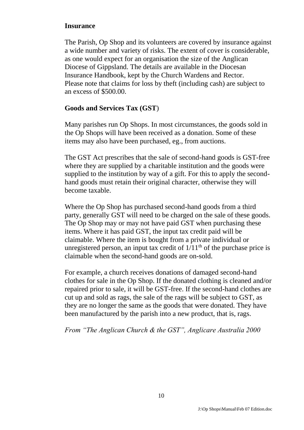#### **Insurance**

The Parish, Op Shop and its volunteers are covered by insurance against a wide number and variety of risks. The extent of cover is considerable, as one would expect for an organisation the size of the Anglican Diocese of Gippsland. The details are available in the Diocesan Insurance Handbook, kept by the Church Wardens and Rector. Please note that claims for loss by theft (including cash) are subject to an excess of \$500.00.

#### **Goods and Services Tax (GST**)

Many parishes run Op Shops. In most circumstances, the goods sold in the Op Shops will have been received as a donation. Some of these items may also have been purchased, eg., from auctions.

The GST Act prescribes that the sale of second-hand goods is GST-free where they are supplied by a charitable institution and the goods were supplied to the institution by way of a gift. For this to apply the secondhand goods must retain their original character, otherwise they will become taxable.

Where the Op Shop has purchased second-hand goods from a third party, generally GST will need to be charged on the sale of these goods. The Op Shop may or may not have paid GST when purchasing these items. Where it has paid GST, the input tax credit paid will be claimable. Where the item is bought from a private individual or unregistered person, an input tax credit of  $1/11<sup>th</sup>$  of the purchase price is claimable when the second-hand goods are on-sold.

For example, a church receives donations of damaged second-hand clothes for sale in the Op Shop. If the donated clothing is cleaned and/or repaired prior to sale, it will be GST-free. If the second-hand clothes are cut up and sold as rags, the sale of the rags will be subject to GST, as they are no longer the same as the goods that were donated. They have been manufactured by the parish into a new product, that is, rags.

*From "The Anglican Church & the GST", Anglicare Australia 2000*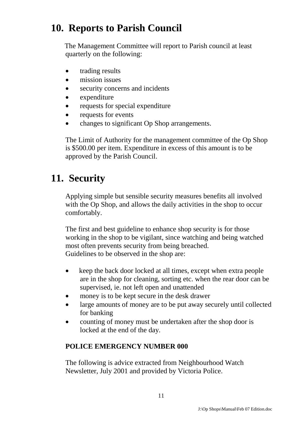# **10. Reports to Parish Council**

The Management Committee will report to Parish council at least quarterly on the following:

- trading results
- mission issues
- security concerns and incidents
- expenditure
- requests for special expenditure
- requests for events
- changes to significant Op Shop arrangements.

The Limit of Authority for the management committee of the Op Shop is \$500.00 per item. Expenditure in excess of this amount is to be approved by the Parish Council.

# **11. Security**

Applying simple but sensible security measures benefits all involved with the Op Shop, and allows the daily activities in the shop to occur comfortably.

The first and best guideline to enhance shop security is for those working in the shop to be vigilant, since watching and being watched most often prevents security from being breached. Guidelines to be observed in the shop are:

- keep the back door locked at all times, except when extra people are in the shop for cleaning, sorting etc. when the rear door can be supervised, ie. not left open and unattended
- money is to be kept secure in the desk drawer
- large amounts of money are to be put away securely until collected for banking
- counting of money must be undertaken after the shop door is locked at the end of the day.

#### **POLICE EMERGENCY NUMBER 000**

The following is advice extracted from Neighbourhood Watch Newsletter, July 2001 and provided by Victoria Police.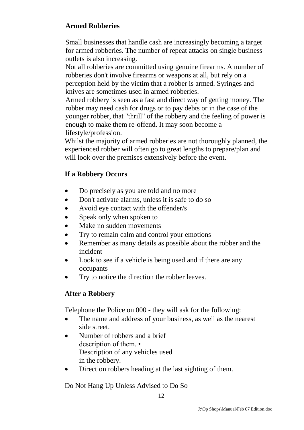### **Armed Robberies**

Small businesses that handle cash are increasingly becoming a target for armed robberies. The number of repeat attacks on single business outlets is also increasing.

Not all robberies are committed using genuine firearms. A number of robberies don't involve firearms or weapons at all, but rely on a perception held by the victim that a robber is armed. Syringes and knives are sometimes used in armed robberies.

Armed robbery is seen as a fast and direct way of getting money. The robber may need cash for drugs or to pay debts or in the case of the younger robber, that "thrill" of the robbery and the feeling of power is enough to make them re-offend. It may soon become a lifestyle/profession.

Whilst the majority of armed robberies are not thoroughly planned, the experienced robber will often go to great lengths to prepare/plan and will look over the premises extensively before the event.

#### **If a Robbery Occurs**

- Do precisely as you are told and no more
- Don't activate alarms, unless it is safe to do so
- Avoid eye contact with the offender/s
- Speak only when spoken to
- Make no sudden movements
- Try to remain calm and control your emotions
- Remember as many details as possible about the robber and the incident
- Look to see if a vehicle is being used and if there are any occupants
- Try to notice the direction the robber leaves.

#### **After a Robbery**

Telephone the Police on 000 - they will ask for the following:

- The name and address of your business, as well as the nearest side street.
- Number of robbers and a brief description of them. • Description of any vehicles used in the robbery.
- Direction robbers heading at the last sighting of them.

Do Not Hang Up Unless Advised to Do So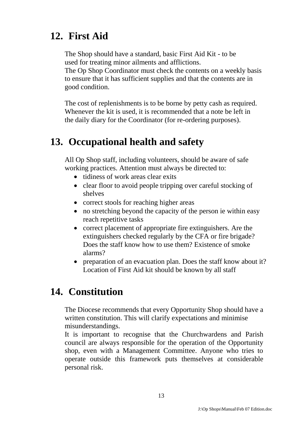# **12. First Aid**

The Shop should have a standard, basic First Aid Kit - to be used for treating minor ailments and afflictions. The Op Shop Coordinator must check the contents on a weekly basis to ensure that it has sufficient supplies and that the contents are in good condition.

The cost of replenishments is to be borne by petty cash as required. Whenever the kit is used, it is recommended that a note be left in the daily diary for the Coordinator (for re-ordering purposes).

# **13. Occupational health and safety**

All Op Shop staff, including volunteers, should be aware of safe working practices. Attention must always be directed to:

- tidiness of work areas clear exits
- clear floor to avoid people tripping over careful stocking of shelves
- correct stools for reaching higher areas
- no stretching beyond the capacity of the person ie within easy reach repetitive tasks
- correct placement of appropriate fire extinguishers. Are the extinguishers checked regularly by the CFA or fire brigade? Does the staff know how to use them? Existence of smoke alarms?
- preparation of an evacuation plan. Does the staff know about it? Location of First Aid kit should be known by all staff

### **14. Constitution**

The Diocese recommends that every Opportunity Shop should have a written constitution. This will clarify expectations and minimise misunderstandings.

It is important to recognise that the Churchwardens and Parish council are always responsible for the operation of the Opportunity shop, even with a Management Committee. Anyone who tries to operate outside this framework puts themselves at considerable personal risk.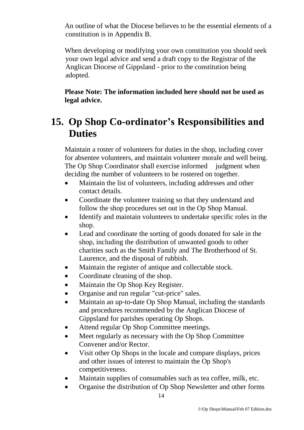An outline of what the Diocese believes to be the essential elements of a constitution is in Appendix B.

When developing or modifying your own constitution you should seek your own legal advice and send a draft copy to the Registrar of the Anglican Diocese of Gippsland - prior to the constitution being adopted.

**Please Note: The information included here should not be used as legal advice.**

# **15. Op Shop Co-ordinator's Responsibilities and Duties**

Maintain a roster of volunteers for duties in the shop, including cover for absentee volunteers, and maintain volunteer morale and well being. The Op Shop Coordinator shall exercise informed judgment when deciding the number of volunteers to be rostered on together.

- Maintain the list of volunteers, including addresses and other contact details.
- Coordinate the volunteer training so that they understand and follow the shop procedures set out in the Op Shop Manual.
- Identify and maintain volunteers to undertake specific roles in the shop.
- Lead and coordinate the sorting of goods donated for sale in the shop, including the distribution of unwanted goods to other charities such as the Smith Family and The Brotherhood of St. Laurence, and the disposal of rubbish.
- Maintain the register of antique and collectable stock.
- Coordinate cleaning of the shop.
- Maintain the Op Shop Key Register.
- Organise and run regular "cut-price" sales.
- Maintain an up-to-date Op Shop Manual, including the standards and procedures recommended by the Anglican Diocese of Gippsland for parishes operating Op Shops.
- Attend regular Op Shop Committee meetings.
- Meet regularly as necessary with the Op Shop Committee Convener and/or Rector.
- Visit other Op Shops in the locale and compare displays, prices and other issues of interest to maintain the Op Shop's competitiveness.
- Maintain supplies of consumables such as tea coffee, milk, etc.
- Organise the distribution of Op Shop Newsletter and other forms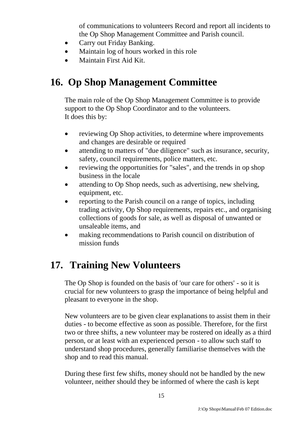of communications to volunteers Record and report all incidents to the Op Shop Management Committee and Parish council.

- Carry out Friday Banking.
- Maintain log of hours worked in this role
- Maintain First Aid Kit.

## **16. Op Shop Management Committee**

The main role of the Op Shop Management Committee is to provide support to the Op Shop Coordinator and to the volunteers. It does this by:

- reviewing Op Shop activities, to determine where improvements and changes are desirable or required
- attending to matters of "due diligence" such as insurance, security, safety, council requirements, police matters, etc.
- reviewing the opportunities for "sales", and the trends in op shop business in the locale
- attending to Op Shop needs, such as advertising, new shelving, equipment, etc.
- reporting to the Parish council on a range of topics, including trading activity, Op Shop requirements, repairs etc., and organising collections of goods for sale, as well as disposal of unwanted or unsaleable items, and
- making recommendations to Parish council on distribution of mission funds

## **17. Training New Volunteers**

The Op Shop is founded on the basis of 'our care for others' - so it is crucial for new volunteers to grasp the importance of being helpful and pleasant to everyone in the shop.

New volunteers are to be given clear explanations to assist them in their duties - to become effective as soon as possible. Therefore, for the first two or three shifts, a new volunteer may be rostered on ideally as a third person, or at least with an experienced person - to allow such staff to understand shop procedures, generally familiarise themselves with the shop and to read this manual.

During these first few shifts, money should not be handled by the new volunteer, neither should they be informed of where the cash is kept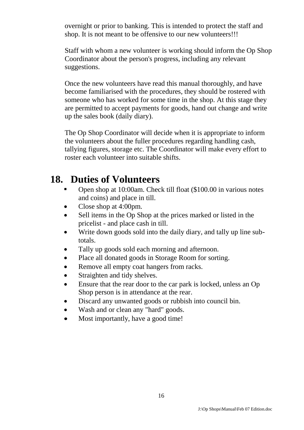overnight or prior to banking. This is intended to protect the staff and shop. It is not meant to be offensive to our new volunteers!!!

Staff with whom a new volunteer is working should inform the Op Shop Coordinator about the person's progress, including any relevant suggestions.

Once the new volunteers have read this manual thoroughly, and have become familiarised with the procedures, they should be rostered with someone who has worked for some time in the shop. At this stage they are permitted to accept payments for goods, hand out change and write up the sales book (daily diary).

The Op Shop Coordinator will decide when it is appropriate to inform the volunteers about the fuller procedures regarding handling cash, tallying figures, storage etc. The Coordinator will make every effort to roster each volunteer into suitable shifts.

### **18. Duties of Volunteers**

- Open shop at 10:00am. Check till float (\$100.00 in various notes and coins) and place in till.
- Close shop at 4:00pm.
- Sell items in the Op Shop at the prices marked or listed in the pricelist - and place cash in till.
- Write down goods sold into the daily diary, and tally up line subtotals.
- Tally up goods sold each morning and afternoon.
- Place all donated goods in Storage Room for sorting.
- Remove all empty coat hangers from racks.
- Straighten and tidy shelves.
- Ensure that the rear door to the car park is locked, unless an Op Shop person is in attendance at the rear.
- Discard any unwanted goods or rubbish into council bin.
- Wash and or clean any "hard" goods.
- Most importantly, have a good time!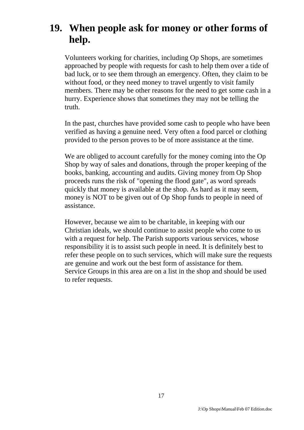## **19. When people ask for money or other forms of help.**

Volunteers working for charities, including Op Shops, are sometimes approached by people with requests for cash to help them over a tide of bad luck, or to see them through an emergency. Often, they claim to be without food, or they need money to travel urgently to visit family members. There may be other reasons for the need to get some cash in a hurry. Experience shows that sometimes they may not be telling the truth.

In the past, churches have provided some cash to people who have been verified as having a genuine need. Very often a food parcel or clothing provided to the person proves to be of more assistance at the time.

We are obliged to account carefully for the money coming into the Op Shop by way of sales and donations, through the proper keeping of the books, banking, accounting and audits. Giving money from Op Shop proceeds runs the risk of "opening the flood gate", as word spreads quickly that money is available at the shop. As hard as it may seem, money is NOT to be given out of Op Shop funds to people in need of assistance.

However, because we aim to be charitable, in keeping with our Christian ideals, we should continue to assist people who come to us with a request for help. The Parish supports various services, whose responsibility it is to assist such people in need. It is definitely best to refer these people on to such services, which will make sure the requests are genuine and work out the best form of assistance for them. Service Groups in this area are on a list in the shop and should be used to refer requests.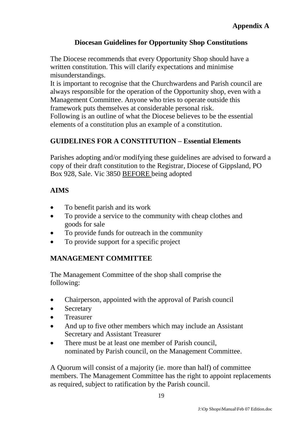### **Diocesan Guidelines for Opportunity Shop Constitutions**

The Diocese recommends that every Opportunity Shop should have a written constitution. This will clarify expectations and minimise misunderstandings.

It is important to recognise that the Churchwardens and Parish council are always responsible for the operation of the Opportunity shop, even with a Management Committee. Anyone who tries to operate outside this framework puts themselves at considerable personal risk.

Following is an outline of what the Diocese believes to be the essential elements of a constitution plus an example of a constitution.

### **GUIDELINES FOR A CONSTITUTION – Essential Elements**

Parishes adopting and/or modifying these guidelines are advised to forward a copy of their draft constitution to the Registrar, Diocese of Gippsland, PO Box 928, Sale. Vic 3850 BEFORE being adopted

### **AIMS**

- To benefit parish and its work
- To provide a service to the community with cheap clothes and goods for sale
- To provide funds for outreach in the community
- To provide support for a specific project

### **MANAGEMENT COMMITTEE**

The Management Committee of the shop shall comprise the following:

- Chairperson, appointed with the approval of Parish council
- Secretary
- Treasurer
- And up to five other members which may include an Assistant Secretary and Assistant Treasurer
- There must be at least one member of Parish council, nominated by Parish council, on the Management Committee.

A Quorum will consist of a majority (ie. more than half) of committee members. The Management Committee has the right to appoint replacements as required, subject to ratification by the Parish council.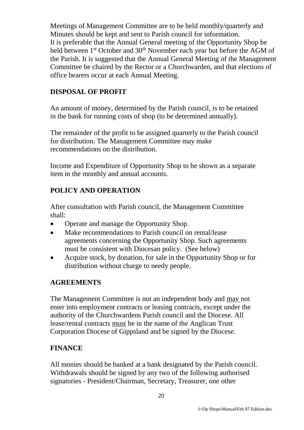Meetings of Management Committee are to be held monthly/quarterly and Minutes should be kept and sent to Parish council for information. It is preferable that the Annual General meeting of the Opportunity Shop be held between 1<sup>st</sup> October and 30<sup>th</sup> November each year but before the AGM of the Parish. It is suggested that the Annual General Meeting of the Management Committee be chaired by the Rector or a Churchwarden, and that elections of office bearers occur at each Annual Meeting.

### **DISPOSAL OF PROFIT**

An amount of money, determined by the Parish council, is to be retained in the bank for running costs of shop (to be determined annually).

The remainder of the profit to be assigned quarterly to the Parish council for distribution. The Management Committee may make recommendations on the distribution.

Income and Expenditure of Opportunity Shop to be shown as a separate item in the monthly and annual accounts.

### **POLICY AND OPERATION**

After consultation with Parish council, the Management Committee shall:

- Operate and manage the Opportunity Shop.
- Make recommendations to Parish council on rental/lease agreements concerning the Opportunity Shop. Such agreements must be consistent with Diocesan policy. (See below)
- Acquire stock, by donation, for sale in the Opportunity Shop or for distribution without charge to needy people.

### **AGREEMENTS**

The Management Committee is not an independent body and mav not enter into employment contracts or leasing contracts, except under the authority of the Churchwardens Parish council and the Diocese. All lease/rental contracts must be in the name of the Anglican Trust Corporation Diocese of Gippsland and be signed by the Diocese.

### **FINANCE**

All monies should be banked at a bank designated by the Parish council. Withdrawals should be signed by any two of the following authorised signatories - President/Chairman, Secretary, Treasurer, one other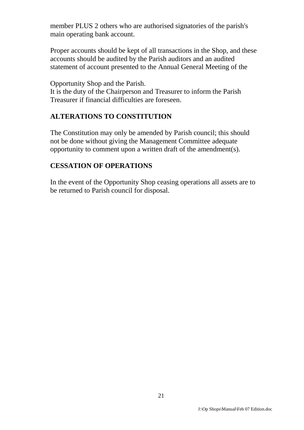member PLUS 2 others who are authorised signatories of the parish's main operating bank account.

Proper accounts should be kept of all transactions in the Shop, and these accounts should be audited by the Parish auditors and an audited statement of account presented to the Annual General Meeting of the

Opportunity Shop and the Parish.

It is the duty of the Chairperson and Treasurer to inform the Parish Treasurer if financial difficulties are foreseen.

#### **ALTERATIONS TO CONSTITUTION**

The Constitution may only be amended by Parish council; this should not be done without giving the Management Committee adequate opportunity to comment upon a written draft of the amendment(s).

#### **CESSATION OF OPERATIONS**

In the event of the Opportunity Shop ceasing operations all assets are to be returned to Parish council for disposal.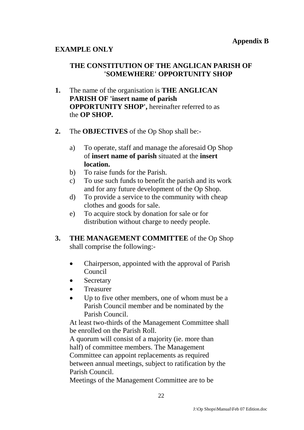#### **EXAMPLE ONLY**

#### **THE CONSTITUTION OF THE ANGLICAN PARISH OF 'SOMEWHERE' OPPORTUNITY SHOP**

- **1.** The name of the organisation is **THE ANGLICAN PARISH OF 'insert name of parish OPPORTUNITY SHOP',** hereinafter referred to as the **OP SHOP.**
- **2.** The **OBJECTIVES** of the Op Shop shall be:
	- a) To operate, staff and manage the aforesaid Op Shop of **insert name of parish** situated at the **insert location.**
	- b) To raise funds for the Parish.
	- c) To use such funds to benefit the parish and its work and for any future development of the Op Shop.
	- d) To provide a service to the community with cheap clothes and goods for sale.
	- e) To acquire stock by donation for sale or for distribution without charge to needy people.
- **3. THE MANAGEMENT COMMITTEE** of the Op Shop shall comprise the following:-
	- Chairperson, appointed with the approval of Parish Council
	- **Secretary**
	- **•** Treasurer
	- Up to five other members, one of whom must be a Parish Council member and be nominated by the Parish Council.

At least two-thirds of the Management Committee shall be enrolled on the Parish Roll.

A quorum will consist of a majority (ie. more than half) of committee members. The Management Committee can appoint replacements as required between annual meetings, subject to ratification by the Parish Council.

Meetings of the Management Committee are to be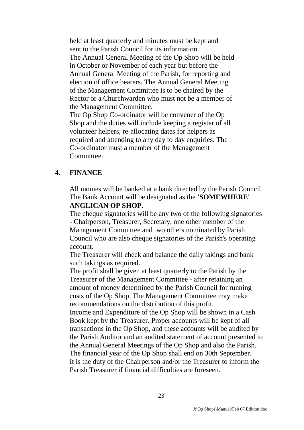held at least quarterly and minutes must be kept and sent to the Parish Council for its information. The Annual General Meeting of the Op Shop will be held in October or November of each year but before the Annual General Meeting of the Parish, for reporting and election of office bearers. The Annual General Meeting of the Management Committee is to be chaired by the Rector or a Churchwarden who must not be a member of the Management Committee.

The Op Shop Co-ordinator will be convener of the Op Shop and the duties will include keeping a register of all volunteer helpers, re-allocating dates for helpers as required and attending to any day to day enquiries. The Co-ordinator must a member of the Management Committee.

#### **4. FINANCE**

All monies will be banked at a bank directed by the Parish Council. The Bank Account will be designated as the **'SOMEWHERE' ANGLICAN OP SHOP.**

The cheque signatories will be any two of the following signatories - Chairperson, Treasurer, Secretary, one other member of the Management Committee and two others nominated by Parish Council who are also cheque signatories of the Parish's operating account.

The Treasurer will check and balance the daily takings and bank such takings as required.

The profit shall be given at least quarterly to the Parish by the Treasurer of the Management Committee - after retaining an amount of money determined by the Parish Council for running costs of the Op Shop. The Management Committee may make recommendations on the distribution of this profit.

Income and Expenditure of the Op Shop will be shown in a Cash Book kept by the Treasurer. Proper accounts will be kept of all transactions in the Op Shop, and these accounts will be audited by the Parish Auditor and an audited statement of account presented to the Annual General Meetings of the Op Shop and also the Parish. The financial year of the Op Shop shall end on 30th September. It is the duty of the Chairperson and/or the Treasurer to inform the Parish Treasurer if financial difficulties are foreseen.